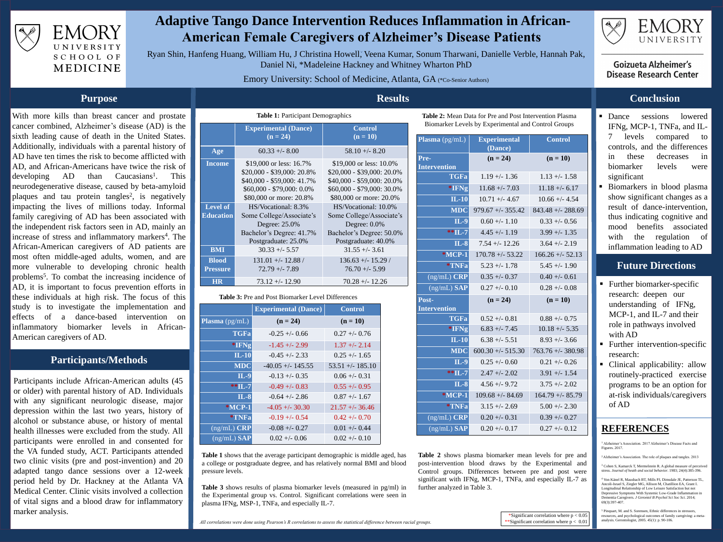

EMORY UNIVERSITY SCHOOL OF MEDICINE



## **Adaptive Tango Dance Intervention Reduces Inflammation in African-American Female Caregivers of Alzheimer's Disease Patients**

Ryan Shin, Hanfeng Huang, William Hu, J Christina Howell, Veena Kumar, Sonum Tharwani, Danielle Verble, Hannah Pak, Daniel Ni, \*Madeleine Hackney and Whitney Wharton PhD

## Emory University: School of Medicine, Atlanta, GA (\*Co-Senior Authors)

With more kills than breast cancer and prostate cancer combined, Alzheimer's disease (AD) is the sixth leading cause of death in the United States. Additionally, individuals with a parental history of AD have ten times the risk to become afflicted with AD, and African-Americans have twice the risk of  $developing$  AD than Caucasians<sup>1</sup>. . This neurodegenerative disease, caused by beta-amyloid plaques and tau protein tangles<sup>2</sup>, is negatively impacting the lives of millions today. Informal family caregiving of AD has been associated with the independent risk factors seen in AD, mainly an increase of stress and inflammatory markers<sup>4</sup>. The African-American caregivers of AD patients are most often middle-aged adults, women, and are more vulnerable to developing chronic health problems<sup>5</sup>. To combat the increasing incidence of AD, it is important to focus prevention efforts in these individuals at high risk. The focus of this study is to investigate the implementation and effects of a dance-based intervention on inflammatory biomarker levels in African-American caregivers of AD.

- <sup>1</sup> Alzheimer's Association. 2017 Alzheimer's Disease Facts and Figures. 2017.
- <sup>2</sup>Alzheimer's Association. The role of plaques and tangles. 2013

Participants include African-American adults (45 or older) with parental history of AD. Individuals with any significant neurologic disease, major depression within the last two years, history of alcohol or substance abuse, or history of mental health illnesses were excluded from the study. All participants were enrolled in and consented for the VA funded study, ACT. Participants attended two clinic visits (pre and post-invention) and 20 adapted tango dance sessions over a 12-week period held by Dr. Hackney at the Atlanta VA Medical Center. Clinic visits involved a collection of vital signs and a blood draw for inflammatory marker analysis.

- **•** Dance sessions lowered IFNg, MCP-1, TNFa, and ILlevels compared to controls, and the differences in these decreases in biomarker levels were significant
- Biomarkers in blood plasma show significant changes as a result of dance-intervention, thus indicating cognitive and mood benefits associated with the regulation of inflammation leading to AD

- Further biomarker-specific research: deepen our understanding of IFNg, MCP-1, and IL-7 and their role in pathways involved with AD
- **EXECUTE:** Further intervention-specific research:
- Clinical applicability: allow routinely-practiced exercise programs to be an option for at-risk individuals/caregivers of AD

**Table 1** shows that the average participant demographic is middle a college or postgraduate degree, and has relatively normal BMI pressure levels.

## **REFERENCES**

### **Purpose**

### **Participants/Methods**

## **Results**

## **Conclusion**

- **6.17** 288.69 **52.13 MDC** 600.30 +/- 515.30 763.76 +/- 380.98
- **85.79**
- 
- 

## **Future Directions**

<sup>3</sup> Cohen S, Kamarck T, Mermelstein R. A global measure of perceived stress. *Journal of heath and social behavior*. 1983; 24(4):385-396.

<sup>4</sup> Von Känel R, Mausbach BT, Mills PJ, Dimsdale JE, Patterson TL, Ancoli-Israel S, Ziegler MG, Allison M, Chatillion EA, Grant I. Longitudinal Relationship of Low Leisure Satisfaction but not Depressive Symptoms With Systemic Low-Grade Inflammation in Dementia Caregivers. *J Gerontol B Psychol Sci Soc Sci*. 2014; 69(3):397-407.

<sup>5</sup> Pinquart, M. and S. Sorensen, Ethnic differences in stressors, resources, and psychological outcomes of family caregiving: a metaanalysis. Gerontologist, 2005. 45(1): p. 90-106.

**Table 2:** Mean Data for Pre and Post Intervention Plasma Biomarker Levels by Experimental and Control Groups

| e aged, has |  |
|-------------|--|
| and blood   |  |

|                                          |                                                                                                                                                | <b>Results</b>                                                                                                                               |  |
|------------------------------------------|------------------------------------------------------------------------------------------------------------------------------------------------|----------------------------------------------------------------------------------------------------------------------------------------------|--|
| <b>Table 1: Participant Demographics</b> |                                                                                                                                                |                                                                                                                                              |  |
|                                          | <b>Experimental (Dance)</b><br>$(n = 24)$                                                                                                      | <b>Control</b><br>$(n = 10)$                                                                                                                 |  |
| Age                                      | $60.33 + - 8.00$                                                                                                                               | $58.10 + - 8.20$                                                                                                                             |  |
| <b>Income</b>                            | \$19,000 or less: 16.7%<br>$$20,000 - $39,000: 20.8\%$<br>$$40,000 - $59,000: 41.7\%$<br>$$60,000 - $79,000: 0.0\%$<br>\$80,000 or more: 20.8% | \$19,000 or less: 10.0%<br>\$20,000 - \$39,000: 20.0%<br>\$40,000 - \$59,000: 20.0%<br>$$60,000 - $79,000:30.0\%$<br>\$80,000 or more: 20.0% |  |
| <b>Level of</b><br><b>Education</b>      | HS/Vocational: 8.3%<br>Some College/Associate's<br>Degree: 25.0%<br>Bachelor's Degree: 41.7%<br>Postgraduate: 25.0%                            | HS/Vocational: 10.0%<br>Some College/Associate's<br>Degree: $0.0\%$<br>Bachelor's Degree: 50.0%<br>Postgraduate: 40.0%                       |  |
| <b>BMI</b>                               | $30.33 + - 5.57$                                                                                                                               | $31.55 + - 3.61$                                                                                                                             |  |
| <b>Blood</b><br><b>Pressure</b>          | $131.01 + - 12.88 /$<br>$72.79 + - 7.89$                                                                                                       | $136.63 + - 15.29$<br>$76.70 + - 5.99$                                                                                                       |  |
| <b>HR</b>                                | $73.12 + - 12.90$                                                                                                                              | $70.28 + - 12.26$                                                                                                                            |  |

### **Table 3:** Pre and Post Biomarker Level Differences

**Table 3** shows results of plasma biomarker levels (measured in pg/ml) in the Experimental group vs. Control. Significant correlations were seen in plasma IFNg, MSP-1, TNFa, and especially IL-7.

**Table 2** shows plasma biomarker mean levels for pre and post-intervention blood draws by the Experimental and Control groups. Differences between pre and post were significant with IFNg, MCP-1, TNFa, and especially IL-7 as further analyzed in Table 3.







## EMORY UNIVERSITY

## **Goizueta Alzheimer's Disease Research Center**

|                                 | <b>Experimental (Dance)</b> | Control            |
|---------------------------------|-----------------------------|--------------------|
| <b>Plasma</b> $(pg/mL)$         | $(n = 24)$                  | $(n = 10)$         |
| <b>TGFa</b>                     | $-0.25 + -0.66$             | $0.27 + -0.76$     |
| *IFNg                           | $-1.45 + (-2.99)$           | $1.37 + - 2.14$    |
| IL-10                           | $-0.45 + (-2.33)$           | $0.25 + - 1.65$    |
| <b>MDC</b>                      | $-40.05 + -145.55$          | $53.51 + - 185.10$ |
| IL-9                            | $-0.13 + -0.35$             | $0.06 + - 0.31$    |
| $*$ * $\Pi$ , 7                 | $-0.49 + (-0.83)$           | $0.55 + (-0.95)$   |
| <b>IL-8</b>                     | $-0.64 + -2.86$             | $0.87 + - 1.67$    |
| <b>*MCP-1</b>                   | $-4.05 + -30.30$            | $21.57 + -36.46$   |
| *TNFa                           | $-0.19 + -0.54$             | $0.42 + -0.70$     |
| $(ng/mL)$ CRP                   | $-0.08 + -0.27$             | $0.01 + -0.44$     |
| $\overline{\text{(ng/mL) SAP}}$ | $0.02 + - 0.06$             | $0.02 + -0.10$     |

| <b>Plasma</b> $(pg/mL)$         | <b>Experimental</b><br>(Dance) | <b>Control</b>     |
|---------------------------------|--------------------------------|--------------------|
| Pre-                            | $(n = 24)$                     | $(n = 10)$         |
| <b>Intervention</b>             |                                |                    |
| TGFa                            | $1.19 + - 1.36$                | $1.13 + - 1.58$    |
| *IFNg                           | $11.68 + - 7.03$               | $11.18 + - 6.17$   |
| $ IL-10 $                       | $10.71 + - 4.67$               | $10.66 + - 4.54$   |
| <b>MDC</b>                      | $979.67 + - 355.42$            | $843.48 + - 288.6$ |
| <b>IL-9</b>                     | $0.60 + - 1.10$                | $0.33 + -0.56$     |
| $*$ $*$ IL-7                    | $4.45 + (-1.19)$               | $3.99 + - 1.35$    |
| IL-8                            | $7.54 + - 12.26$               | $3.64 + - 2.19$    |
| *MCP-1                          | $170.78 + -53.22$              | $166.26 + -52.1$   |
| *TNFa                           | $5.23 + - 1.78$                | $5.45 + - 1.90$    |
| $(ng/mL)$ CRP                   | $0.35 + -0.37$                 | $0.40 + - 0.61$    |
| $(ng/mL)$ SAP                   | $0.27 + -0.10$                 | $0.28 + -0.08$     |
| Post-<br><b>Intervention</b>    | $(n = 24)$                     | $(n = 10)$         |
| TGFa                            | $0.52 + - 0.81$                | $0.88 + -0.75$     |
| *IFNg                           | $6.83 + - 7.45$                | $10.18 + - 5.35$   |
| $IL-10$                         | $6.38 + (-5.51)$               | $8.93 + - 3.66$    |
| <b>MDC</b>                      | $600.30 + -515.30$             | $763.76 + -380.9$  |
| $IL-9$                          | $0.25 + -0.60$                 | $0.21 + -0.26$     |
| $*$ $ L-7 $                     | $2.47 + - 2.02$                | $3.91 + - 1.54$    |
| $IL-8$                          | $4.56 + -9.72$                 | $3.75 + - 2.02$    |
| $*MCP-1$                        | $109.68 + - 84.69$             | $164.79 + - 85.7$  |
| *TNFa                           | $3.15 + - 2.69$                | $5.00 + - 2.30$    |
| $\overline{\text{(ng/mL)}}$ CRP | $0.20 + - 0.31$                | $0.39 + - 0.27$    |
| $(ng/mL)$ $SAP$                 | $0.20 + -0.17$                 | $0.27 + -0.12$     |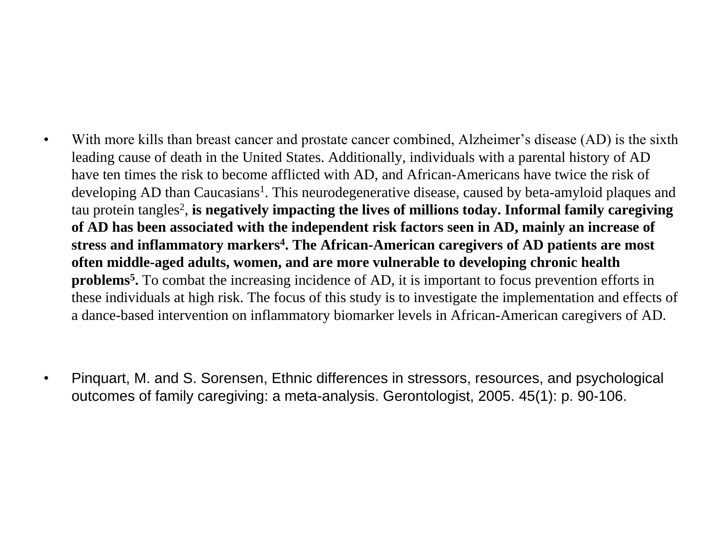• With more kills than breast cancer and prostate cancer combined, Alzheimer's disease (AD) is the sixth leading cause of death in the United States. Additionally, individuals with a parental history of AD have ten times the risk to become afflicted with AD, and African-Americans have twice the risk of developing AD than Caucasians<sup>1</sup>. This neurodegenerative disease, caused by beta-amyloid plaques and tau protein tangles<sup>2</sup>, **is negatively impacting the lives of millions today. Informal family caregiving of AD has been associated with the independent risk factors seen in AD, mainly an increase of stress and inflammatory markers 4 . The African-American caregivers of AD patients are most often middle-aged adults, women, and are more vulnerable to developing chronic health problems<sup>5</sup> .** To combat the increasing incidence of AD, it is important to focus prevention efforts in these individuals at high risk. The focus of this study is to investigate the implementation and effects of a dance-based intervention on inflammatory biomarker levels in African-American caregivers of AD.

• Pinquart, M. and S. Sorensen, Ethnic differences in stressors, resources, and psychological outcomes of family caregiving: a meta-analysis. Gerontologist, 2005. 45(1): p. 90-106.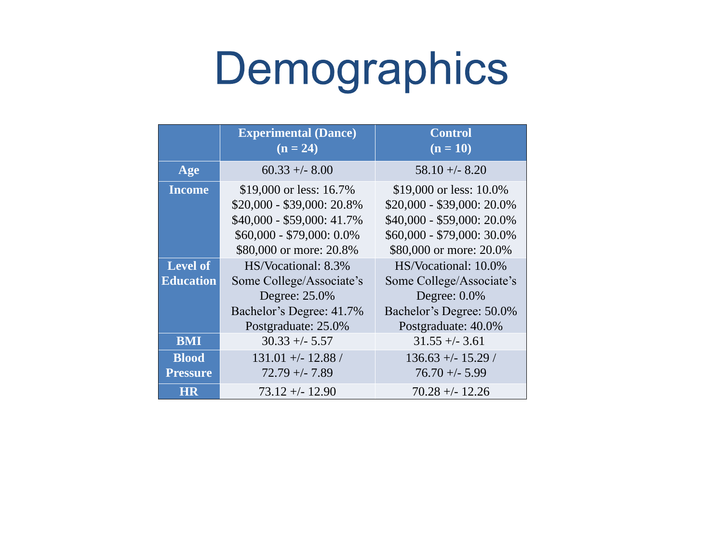## **Control**  $(n = 10)$

\$19,000 or less: 10.0% \$20,000 - \$39,000: 20.0% \$40,000 - \$59,000: 20.0% \$60,000 - \$79,000: 30.0% \$80,000 or more: 20.0% HS/Vocational: 10.0% Some College/Associate's

Degree:  $0.0\%$ Bachelor's Degree: 50.0% Postgraduate: 40.0%

|                   | Experimental (Dance)<br>$(n = 24)$                                                                                                          | Control<br>$(n = 10)$                                                                                                   |
|-------------------|---------------------------------------------------------------------------------------------------------------------------------------------|-------------------------------------------------------------------------------------------------------------------------|
| Age               | $60.33 + - 8.00$                                                                                                                            | $58.10 + - 8.20$                                                                                                        |
| Income            | \$19,000 or less: 16.7%<br>\$20,000 - \$39,000: 20.8%<br>\$40,000 - \$59,000: 41.7%<br>\$60,000 - \$79,000: 0.0%<br>\$80,000 or more: 20.8% | \$19,000 or less: 10<br>\$20,000 - \$39,000:2<br>\$40,000 - \$59,000:2<br>$$60,000 - $79,000:3$<br>\$80,000 or more: 20 |
| Level of          | HS/Vocational: 8.3%                                                                                                                         | HS/Vocational: 10                                                                                                       |
| ducation          | Some College/Associate's<br>Degree: 25.0%<br>Bachelor's Degree: 41.7%<br>Postgraduate: 25.0%                                                | Some College/Assoc<br>Degree: 0.0%<br>Bachelor's Degree: 5<br>Postgraduate: 40.                                         |
| BMI               | $30.33 + - 5.57$                                                                                                                            | $31.55 + (-3.61)$                                                                                                       |
| Blood<br>Pressure | $131.01 + - 12.88$<br>$72.79 + - 7.89$                                                                                                      | $136.63 + - 15.29$<br>$76.70 + (-5.99)$                                                                                 |
| DHR               | $73.12 + - 12.90$                                                                                                                           | $70.28 + - 12.26$                                                                                                       |



# Demographics

136.63 +/- 15.29 / 76.70 +/- 5.99

**HR** 73.12 +/- 12.90 70.28 +/- 12.26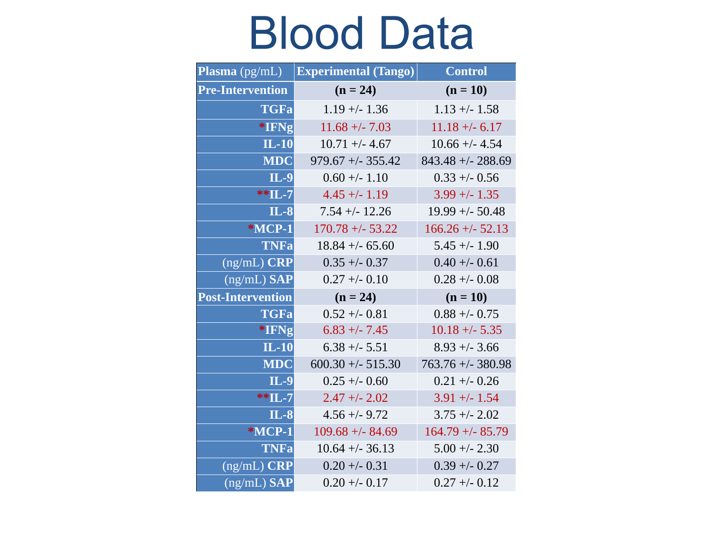# **Blood Data**

| Plasma (pg/mL)    | Experimental (Tango) | Control             |
|-------------------|----------------------|---------------------|
| Pre-Intervention  | $(n = 24)$           | $(n = 10)$          |
| TGFal             | $1.19 + - 1.36$      | $1.13 + (-1.58)$    |
| *IFNg             | $11.68 + - 7.03$     | $11.18 + (-6.17)$   |
| TL-10             | $10.71 + (-4.67)$    | $10.66 + -4.54$     |
| MDC               | $979.67 + (-355.42)$ | $843.48 + - 288.69$ |
| $ L-9 $           | $0.60 + - 1.10$      | $0.33 + (-0.56)$    |
| **TL 7            | $4.45 + (-1.19)$     | $3.99 + - 1.35$     |
| <b>IL-8</b>       | $7.54 + (-12.26)$    | $19.99 + - 50.48$   |
| *MCP-1            | $170.78 + -53.22$    | $166.26 + (-52.13)$ |
| TNFal             | $18.84 + - 65.60$    | $5.45 + - 1.90$     |
| (ng/mL) CRP       | $0.35 + -0.37$       | $0.40 +/- 0.61$     |
| (ng/mL) SAP       | $0.27 + -0.10$       | $0.28 + -0.08$      |
| Post-Intervention | $(n = 24)$           | $(n = 10)$          |
| TGFal             | $0.52 + - 0.81$      | $0.88 + -0.75$      |
| *IFNg             | $6.83 + (-7.45)$     | $10.18 + (-5.35)$   |
| <b>IL-10</b>      | $6.38 + -5.51$       | $8.93 + -3.66$      |
| MDC               | $600.30 + (-515.30)$ | $763.76 + - 380.98$ |
| $\mathbf{L}$ -9   | $0.25 + -0.60$       | $0.21 + -0.26$      |
| ** IL-7           | $2.47 + (-2.02)$     | $3.91 + (-1.54)$    |
| <b>IL-8</b>       | $4.56 + (-9.72)$     | $3.75 + (-2.02)$    |
| *MCP-1            | $109.68 + - 84.69$   | $164.79 + (-85.79)$ |
| TNFa              | $10.64 + -36.13$     | $5.00 + -2.30$      |
| (ng/mL) CRP       | $0.20 + (-0.31)$     | $0.39 + - 0.27$     |
| (ng/mL) SAP       | $0.20 + - 0.17$      | $0.27 + -0.12$      |